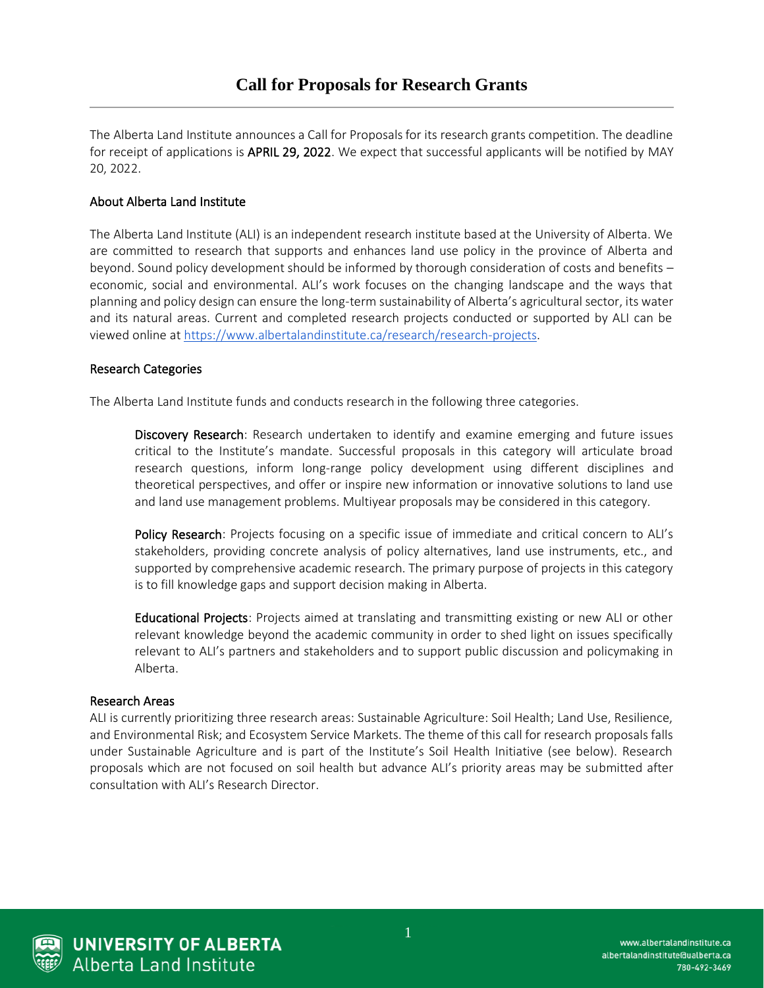The Alberta Land Institute announces a Call for Proposals for its research grants competition. The deadline for receipt of applications is **APRIL 29, 2022**. We expect that successful applicants will be notified by MAY 20, 2022.

# About Alberta Land Institute

The Alberta Land Institute (ALI) is an independent research institute based at the University of Alberta. We are committed to research that supports and enhances land use policy in the province of Alberta and beyond. Sound policy development should be informed by thorough consideration of costs and benefits – economic, social and environmental. ALI's work focuses on the changing landscape and the ways that planning and policy design can ensure the long-term sustainability of Alberta's agricultural sector, its water and its natural areas. Current and completed research projects conducted or supported by ALI can be viewed online a[t https://www.albertalandinstitute.ca/research/research-projects.](https://www.albertalandinstitute.ca/research/research-projects)

## Research Categories

The Alberta Land Institute funds and conducts research in the following three categories.

Discovery Research: Research undertaken to identify and examine emerging and future issues critical to the Institute's mandate. Successful proposals in this category will articulate broad research questions, inform long-range policy development using different disciplines and theoretical perspectives, and offer or inspire new information or innovative solutions to land use and land use management problems. Multiyear proposals may be considered in this category.

Policy Research: Projects focusing on a specific issue of immediate and critical concern to ALI's stakeholders, providing concrete analysis of policy alternatives, land use instruments, etc., and supported by comprehensive academic research. The primary purpose of projects in this category is to fill knowledge gaps and support decision making in Alberta.

Educational Projects: Projects aimed at translating and transmitting existing or new ALI or other relevant knowledge beyond the academic community in order to shed light on issues specifically relevant to ALI's partners and stakeholders and to support public discussion and policymaking in Alberta.

## Research Areas

ALI is currently prioritizing three research areas: Sustainable Agriculture: Soil Health; Land Use, Resilience, and Environmental Risk; and Ecosystem Service Markets. The theme of this call for research proposals falls under Sustainable Agriculture and is part of the Institute's Soil Health Initiative (see below). Research proposals which are not focused on soil health but advance ALI's priority areas may be submitted after consultation with ALI's Research Director.



**UNIVERSITY OF ALBERTA Alberta Land Institute**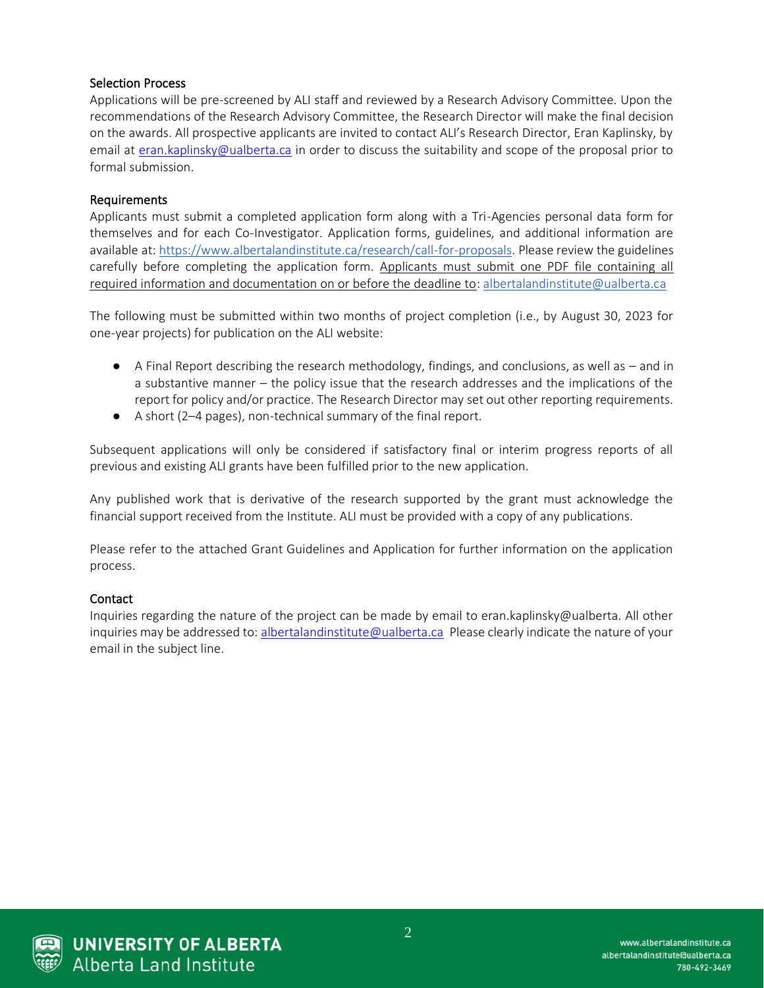## Selection Process

Applications will be pre-screened by ALI staff and reviewed by a Research Advisory Committee. Upon the recommendations of the Research Advisory Committee, the Research Director will make the final decision on the awards. All prospective applicants are invited to contact ALI's Research Director, Eran Kaplinsky, by email at [eran.kaplinsky@ualberta.ca](mailto:eran.kaplinsky@ualberta.ca) in order to discuss the suitability and scope of the proposal prior to formal submission.

## Requirements

Applicants must submit a completed application form along with a Tri-Agencies personal data form for themselves and for each Co-Investigator. Application forms, guidelines, and additional information are available at[: https://www.albertalandinstitute.ca/research/call-for-proposals.](https://www.albertalandinstitute.ca/research/call-for-proposals) Please review the guidelines carefully before completing the application form. Applicants must submit one PDF file containing all required information and documentation on or before the deadline to[: albertalandinstitute@ualberta.ca](mailto:albertalandinstitute@ualberta.ca)

The following must be submitted within two months of project completion (i.e., by August 30, 2023 for one-year projects) for publication on the ALI website:

- $\bullet$  A Final Report describing the research methodology, findings, and conclusions, as well as  $-$  and in a substantive manner – the policy issue that the research addresses and the implications of the report for policy and/or practice. The Research Director may set out other reporting requirements.
- A short (2–4 pages), non-technical summary of the final report.

Subsequent applications will only be considered if satisfactory final or interim progress reports of all previous and existing ALI grants have been fulfilled prior to the new application.

Any published work that is derivative of the research supported by the grant must acknowledge the financial support received from the Institute. ALI must be provided with a copy of any publications.

Please refer to the attached Grant Guidelines and Application for further information on the application process.

## Contact

Inquiries regarding the nature of the project can be made by email to eran.kaplinsky@ualberta. All other inquiries may be addressed to: [albertalandinstitute@ualberta.ca](mailto:albertalandinstitute@ualberta.ca) Please clearly indicate the nature of your email in the subject line.



**UNIVERSITY OF ALBERTA Alberta Land Institute**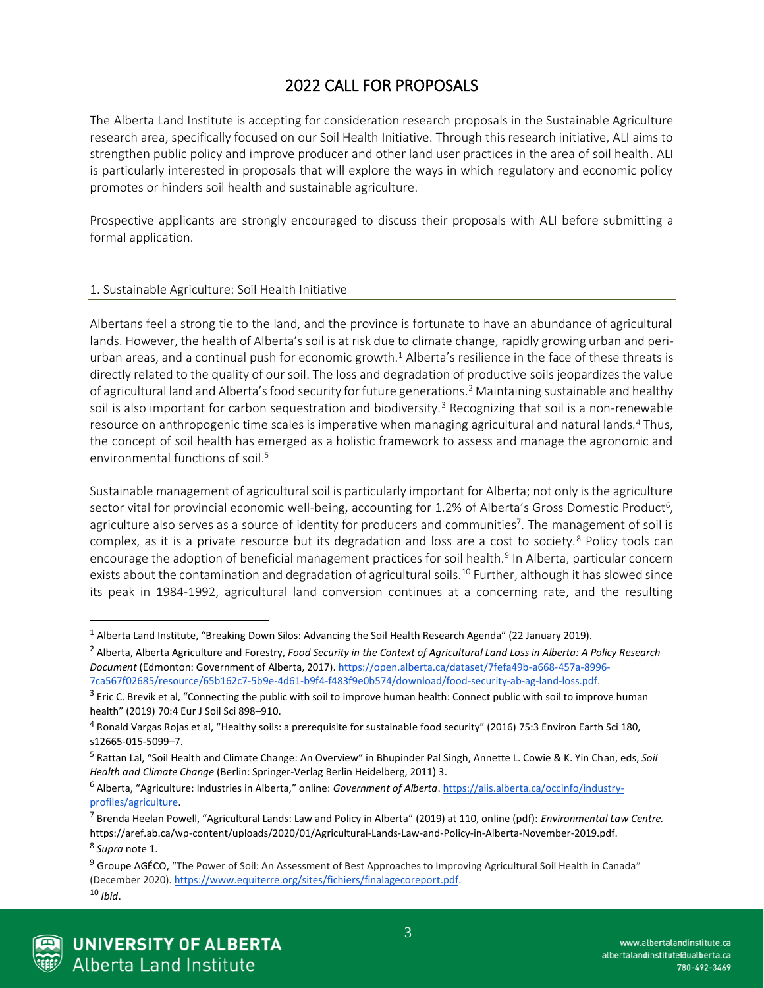# 2022 CALL FOR PROPOSALS

The Alberta Land Institute is accepting for consideration research proposals in the Sustainable Agriculture research area, specifically focused on our Soil Health Initiative. Through this research initiative, ALI aims to strengthen public policy and improve producer and other land user practices in the area of soil health. ALI is particularly interested in proposals that will explore the ways in which regulatory and economic policy promotes or hinders soil health and sustainable agriculture.

Prospective applicants are strongly encouraged to discuss their proposals with ALI before submitting a formal application.

#### 1. Sustainable Agriculture: Soil Health Initiative

Albertans feel a strong tie to the land, and the province is fortunate to have an abundance of agricultural lands. However, the health of Alberta's soil is at risk due to climate change, rapidly growing urban and periurban areas, and a continual push for economic growth.<sup>1</sup> Alberta's resilience in the face of these threats is directly related to the quality of our soil. The loss and degradation of productive soils jeopardizes the value of agricultural land and Alberta's food security for future generations.<sup>2</sup> Maintaining sustainable and healthy soil is also important for carbon sequestration and biodiversity.<sup>3</sup> Recognizing that soil is a non-renewable resource on anthropogenic time scales is imperative when managing agricultural and natural lands.<sup>4</sup> Thus, the concept of soil health has emerged as a holistic framework to assess and manage the agronomic and environmental functions of soil.<sup>5</sup>

Sustainable management of agricultural soil is particularly important for Alberta; not only is the agriculture sector vital for provincial economic well-being, accounting for 1.2% of Alberta's Gross Domestic Product<sup>6</sup>, agriculture also serves as a source of identity for producers and communities<sup>7</sup>. The management of soil is complex, as it is a private resource but its degradation and loss are a cost to society.<sup>8</sup> Policy tools can encourage the adoption of beneficial management practices for soil health.<sup>9</sup> In Alberta, particular concern exists about the contamination and degradation of agricultural soils.<sup>10</sup> Further, although it has slowed since its peak in 1984-1992, agricultural land conversion continues at a concerning rate, and the resulting

<sup>2</sup> Alberta, Alberta Agriculture and Forestry, *Food Security in the Context of Agricultural Land Loss in Alberta: A Policy Research Document* (Edmonton: Government of Alberta, 2017)[. https://open.alberta.ca/dataset/7fefa49b-a668-457a-8996-](https://open.alberta.ca/dataset/7fefa49b-a668-457a-8996-7ca567f02685/resource/65b162c7-5b9e-4d61-b9f4-f483f9e0b574/download/food-security-ab-ag-land-loss.pdf) [7ca567f02685/resource/65b162c7-5b9e-4d61-b9f4-f483f9e0b574/download/food-security-ab-ag-land-loss.pdf.](https://open.alberta.ca/dataset/7fefa49b-a668-457a-8996-7ca567f02685/resource/65b162c7-5b9e-4d61-b9f4-f483f9e0b574/download/food-security-ab-ag-land-loss.pdf)

<sup>&</sup>lt;sup>9</sup> Groupe AGÉCO, "The Power of Soil: An Assessment of Best Approaches to Improving Agricultural Soil Health in Canada" (December 2020). [https://www.equiterre.org/sites/fichiers/finalagecoreport.pdf.](https://www.equiterre.org/sites/fichiers/finalagecoreport.pdf) <sup>10</sup> *Ibid*.



<sup>1</sup> Alberta Land Institute, "Breaking Down Silos: Advancing the Soil Health Research Agenda" (22 January 2019).

 $3$  Eric C. Brevik et al, "Connecting the public with soil to improve human health: Connect public with soil to improve human health" (2019) 70:4 Eur J Soil Sci 898–910.

<sup>4</sup> Ronald Vargas Rojas et al, "Healthy soils: a prerequisite for sustainable food security" (2016) 75:3 Environ Earth Sci 180, s12665-015-5099–7.

<sup>5</sup> Rattan Lal, "Soil Health and Climate Change: An Overview" in Bhupinder Pal Singh, Annette L. Cowie & K. Yin Chan, eds, *Soil Health and Climate Change* (Berlin: Springer-Verlag Berlin Heidelberg, 2011) 3.

<sup>6</sup> Alberta, "Agriculture: Industries in Alberta," online: *Government of Alberta*[. https://alis.alberta.ca/occinfo/industry](https://alis.alberta.ca/occinfo/industry-profiles/agriculture)[profiles/agriculture.](https://alis.alberta.ca/occinfo/industry-profiles/agriculture)

<sup>7</sup> Brenda Heelan Powell, "Agricultural Lands: Law and Policy in Alberta" (2019) at 110, online (pdf): *Environmental Law Centre.*  [https://aref.ab.ca/wp-content/uploads/2020/01/Agricultural-Lands-Law-and-Policy-in-Alberta-November-2019.pdf.](https://aref.ab.ca/wp-content/uploads/2020/01/Agricultural-Lands-Law-and-Policy-in-Alberta-November-2019.pdf) 8 *Supra* note 1.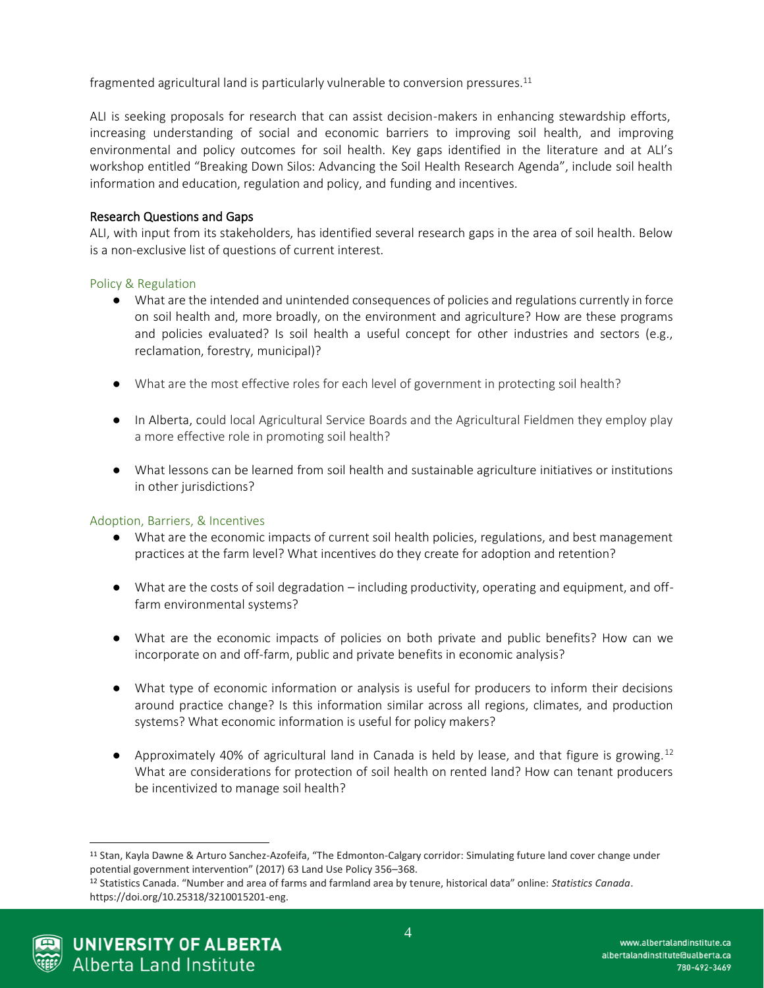fragmented agricultural land is particularly vulnerable to conversion pressures. $^{11}$ 

ALI is seeking proposals for research that can assist decision-makers in enhancing stewardship efforts, increasing understanding of social and economic barriers to improving soil health, and improving environmental and policy outcomes for soil health. Key gaps identified in the literature and at ALI's workshop entitled "Breaking Down Silos: Advancing the Soil Health Research Agenda", include soil health information and education, regulation and policy, and funding and incentives.

## Research Questions and Gaps

ALI, with input from its stakeholders, has identified several research gaps in the area of soil health. Below is a non-exclusive list of questions of current interest.

## Policy & Regulation

- What are the intended and unintended consequences of policies and regulations currently in force on soil health and, more broadly, on the environment and agriculture? How are these programs and policies evaluated? Is soil health a useful concept for other industries and sectors (e.g., reclamation, forestry, municipal)?
- What are the most effective roles for each level of government in protecting soil health?
- In Alberta, could local Agricultural Service Boards and the Agricultural Fieldmen they employ play a more effective role in promoting soil health?
- What lessons can be learned from soil health and sustainable agriculture initiatives or institutions in other jurisdictions?

## Adoption, Barriers, & Incentives

- What are the economic impacts of current soil health policies, regulations, and best management practices at the farm level? What incentives do they create for adoption and retention?
- What are the costs of soil degradation including productivity, operating and equipment, and offfarm environmental systems?
- What are the economic impacts of policies on both private and public benefits? How can we incorporate on and off-farm, public and private benefits in economic analysis?
- What type of economic information or analysis is useful for producers to inform their decisions around practice change? Is this information similar across all regions, climates, and production systems? What economic information is useful for policy makers?
- Approximately 40% of agricultural land in Canada is held by lease, and that figure is growing.<sup>12</sup> What are considerations for protection of soil health on rented land? How can tenant producers be incentivized to manage soil health?

<sup>12</sup> Statistics Canada. "Number and area of farms and farmland area by tenure, historical data" online: *Statistics Canada*. https://doi.org/10.25318/3210015201-eng.



<sup>11</sup> Stan, Kayla Dawne & Arturo Sanchez-Azofeifa, "The Edmonton-Calgary corridor: Simulating future land cover change under potential government intervention" (2017) 63 Land Use Policy 356–368.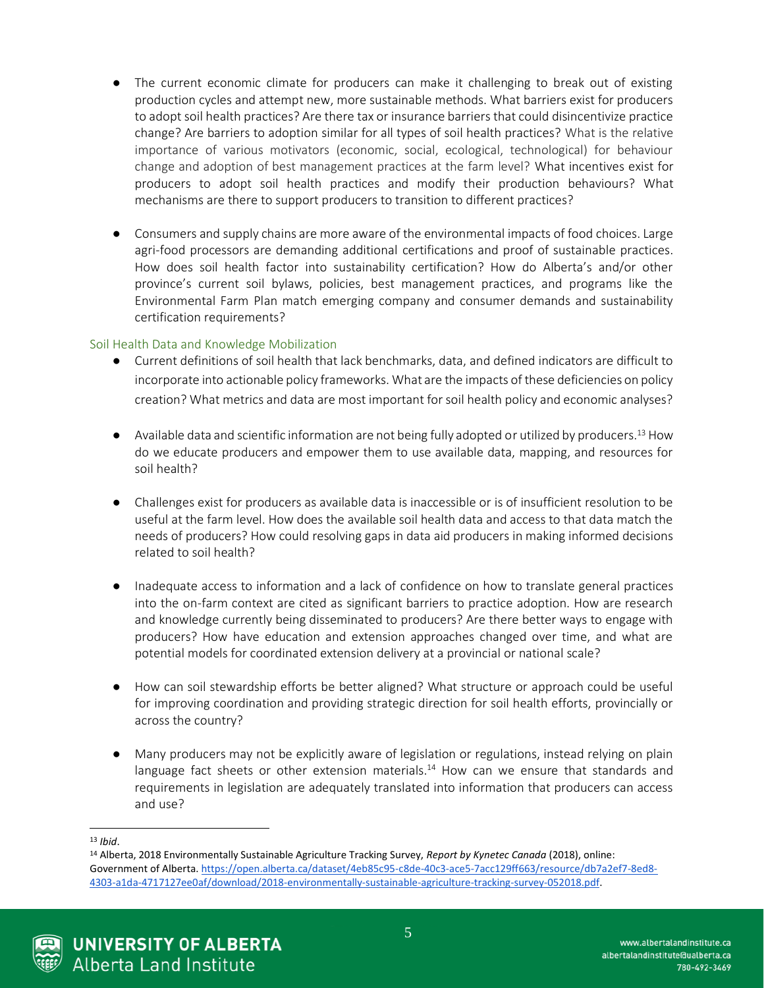- The current economic climate for producers can make it challenging to break out of existing production cycles and attempt new, more sustainable methods. What barriers exist for producers to adopt soil health practices? Are there tax or insurance barriers that could disincentivize practice change? Are barriers to adoption similar for all types of soil health practices? What is the relative importance of various motivators (economic, social, ecological, technological) for behaviour change and adoption of best management practices at the farm level? What incentives exist for producers to adopt soil health practices and modify their production behaviours? What mechanisms are there to support producers to transition to different practices?
- Consumers and supply chains are more aware of the environmental impacts of food choices. Large agri-food processors are demanding additional certifications and proof of sustainable practices. How does soil health factor into sustainability certification? How do Alberta's and/or other province's current soil bylaws, policies, best management practices, and programs like the Environmental Farm Plan match emerging company and consumer demands and sustainability certification requirements?

## Soil Health Data and Knowledge Mobilization

- Current definitions of soil health that lack benchmarks, data, and defined indicators are difficult to incorporate into actionable policy frameworks. What are the impacts of these deficiencies on policy creation? What metrics and data are most important for soil health policy and economic analyses?
- $\bullet$  Available data and scientific information are not being fully adopted or utilized by producers.<sup>13</sup> How do we educate producers and empower them to use available data, mapping, and resources for soil health?
- Challenges exist for producers as available data is inaccessible or is of insufficient resolution to be useful at the farm level. How does the available soil health data and access to that data match the needs of producers? How could resolving gaps in data aid producers in making informed decisions related to soil health?
- Inadequate access to information and a lack of confidence on how to translate general practices into the on-farm context are cited as significant barriers to practice adoption. How are research and knowledge currently being disseminated to producers? Are there better ways to engage with producers? How have education and extension approaches changed over time, and what are potential models for coordinated extension delivery at a provincial or national scale?
- How can soil stewardship efforts be better aligned? What structure or approach could be useful for improving coordination and providing strategic direction for soil health efforts, provincially or across the country?
- Many producers may not be explicitly aware of legislation or regulations, instead relying on plain language fact sheets or other extension materials.<sup>14</sup> How can we ensure that standards and requirements in legislation are adequately translated into information that producers can access and use?



<sup>13</sup> *Ibid*.

<sup>14</sup> Alberta, 2018 Environmentally Sustainable Agriculture Tracking Survey, *Report by Kynetec Canada* (2018), online: Government of Alberta[. https://open.alberta.ca/dataset/4eb85c95-c8de-40c3-ace5-7acc129ff663/resource/db7a2ef7-8ed8-](https://open.alberta.ca/dataset/4eb85c95-c8de-40c3-ace5-7acc129ff663/resource/db7a2ef7-8ed8-4303-a1da-4717127ee0af/download/2018-environmentally-sustainable-agriculture-tracking-survey-052018.pdf) [4303-a1da-4717127ee0af/download/2018-environmentally-sustainable-agriculture-tracking-survey-052018.pdf.](https://open.alberta.ca/dataset/4eb85c95-c8de-40c3-ace5-7acc129ff663/resource/db7a2ef7-8ed8-4303-a1da-4717127ee0af/download/2018-environmentally-sustainable-agriculture-tracking-survey-052018.pdf)